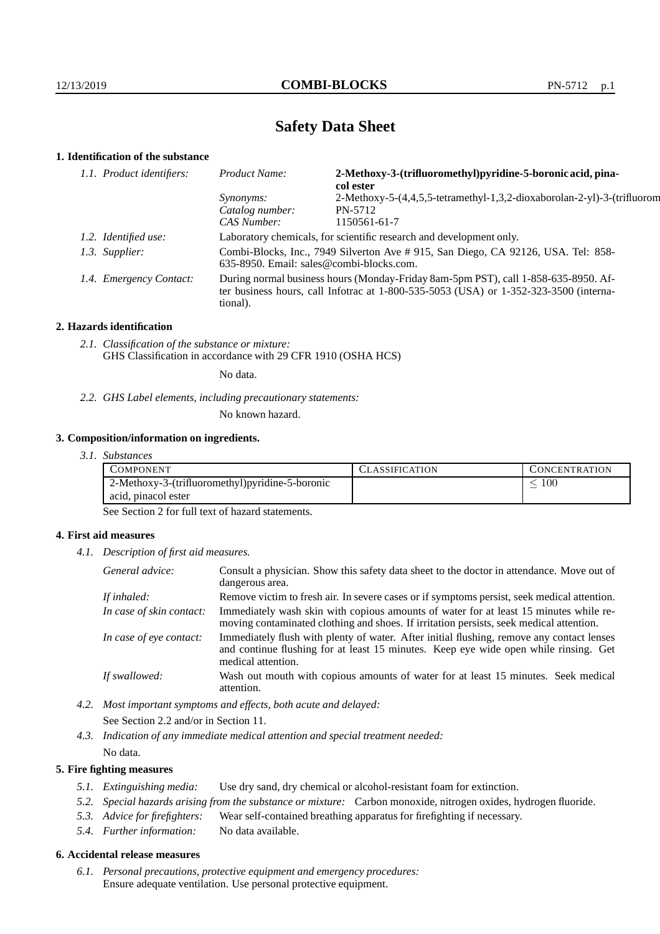# **Safety Data Sheet**

## **1. Identification of the substance**

| 1.1. Product identifiers: |                         | Product Name:                                                                                                                                                                           | 2-Methoxy-3-(trifluoromethyl)pyridine-5-boronic acid, pina-<br>col ester |  |
|---------------------------|-------------------------|-----------------------------------------------------------------------------------------------------------------------------------------------------------------------------------------|--------------------------------------------------------------------------|--|
|                           |                         | <i>Synonyms:</i>                                                                                                                                                                        | 2-Methoxy-5-(4,4,5,5-tetramethyl-1,3,2-dioxaborolan-2-yl)-3-(trifluorom  |  |
|                           |                         | Catalog number:                                                                                                                                                                         | PN-5712                                                                  |  |
|                           |                         | CAS Number:                                                                                                                                                                             | 1150561-61-7                                                             |  |
|                           | 1.2. Identified use:    | Laboratory chemicals, for scientific research and development only.                                                                                                                     |                                                                          |  |
|                           | 1.3. Supplier:          | Combi-Blocks, Inc., 7949 Silverton Ave # 915, San Diego, CA 92126, USA. Tel: 858-<br>$635-8950$ . Email: sales@combi-blocks.com.                                                        |                                                                          |  |
|                           | 1.4. Emergency Contact: | During normal business hours (Monday-Friday 8am-5pm PST), call 1-858-635-8950. Af-<br>ter business hours, call Infotrac at 1-800-535-5053 (USA) or 1-352-323-3500 (interna-<br>tional). |                                                                          |  |

#### **2. Hazards identification**

*2.1. Classification of the substance or mixture:* GHS Classification in accordance with 29 CFR 1910 (OSHA HCS)

No data.

*2.2. GHS Label elements, including precautionary statements:*

No known hazard.

### **3. Composition/information on ingredients.**

*3.1. Substances*

| COMPONENT           |                                                 | <b>ASSIFICATION</b> | <b>CONCENTRATION</b> |
|---------------------|-------------------------------------------------|---------------------|----------------------|
|                     | 2-Methoxy-3-(trifluoromethyl)pyridine-5-boronic |                     | i 00                 |
| acid, pinacol ester |                                                 |                     |                      |

See Section 2 for full text of hazard statements.

#### **4. First aid measures**

*4.1. Description of first aid measures.*

| General advice:          | Consult a physician. Show this safety data sheet to the doctor in attendance. Move out of<br>dangerous area.                                                                                            |
|--------------------------|---------------------------------------------------------------------------------------------------------------------------------------------------------------------------------------------------------|
| If inhaled:              | Remove victim to fresh air. In severe cases or if symptoms persist, seek medical attention.                                                                                                             |
| In case of skin contact: | Immediately wash skin with copious amounts of water for at least 15 minutes while re-<br>moving contaminated clothing and shoes. If irritation persists, seek medical attention.                        |
| In case of eye contact:  | Immediately flush with plenty of water. After initial flushing, remove any contact lenses<br>and continue flushing for at least 15 minutes. Keep eye wide open while rinsing. Get<br>medical attention. |
| If swallowed:            | Wash out mouth with copious amounts of water for at least 15 minutes. Seek medical<br>attention.                                                                                                        |

*4.2. Most important symptoms and effects, both acute and delayed:* See Section 2.2 and/or in Section 11.

*4.3. Indication of any immediate medical attention and special treatment needed:* No data.

### **5. Fire fighting measures**

- *5.1. Extinguishing media:* Use dry sand, dry chemical or alcohol-resistant foam for extinction.
- *5.2. Special hazards arising from the substance or mixture:* Carbon monoxide, nitrogen oxides, hydrogen fluoride.
- *5.3. Advice for firefighters:* Wear self-contained breathing apparatus for firefighting if necessary.
- *5.4. Further information:* No data available.

## **6. Accidental release measures**

*6.1. Personal precautions, protective equipment and emergency procedures:* Ensure adequate ventilation. Use personal protective equipment.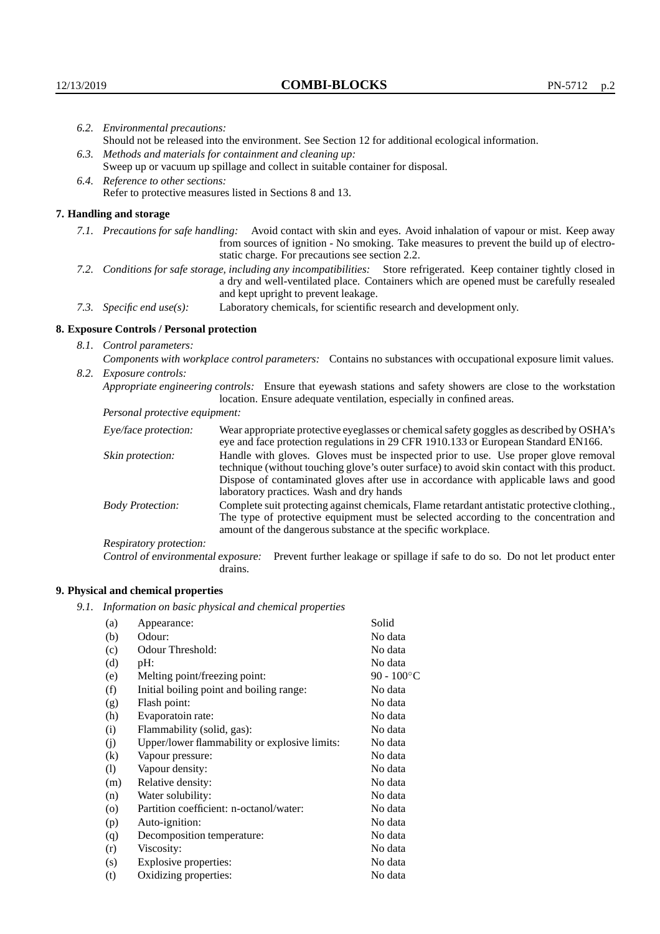|                                                                                                                         | 6.2. Environmental precautions:                                                                               |                                                                                                                                                                                                                                                                            |  |  |  |
|-------------------------------------------------------------------------------------------------------------------------|---------------------------------------------------------------------------------------------------------------|----------------------------------------------------------------------------------------------------------------------------------------------------------------------------------------------------------------------------------------------------------------------------|--|--|--|
|                                                                                                                         | Should not be released into the environment. See Section 12 for additional ecological information.            |                                                                                                                                                                                                                                                                            |  |  |  |
|                                                                                                                         | 6.3. Methods and materials for containment and cleaning up:                                                   |                                                                                                                                                                                                                                                                            |  |  |  |
|                                                                                                                         | Sweep up or vacuum up spillage and collect in suitable container for disposal.                                |                                                                                                                                                                                                                                                                            |  |  |  |
|                                                                                                                         | 6.4. Reference to other sections:                                                                             |                                                                                                                                                                                                                                                                            |  |  |  |
|                                                                                                                         |                                                                                                               | Refer to protective measures listed in Sections 8 and 13.                                                                                                                                                                                                                  |  |  |  |
|                                                                                                                         | 7. Handling and storage                                                                                       |                                                                                                                                                                                                                                                                            |  |  |  |
|                                                                                                                         | 7.1. Precautions for safe handling:                                                                           | Avoid contact with skin and eyes. Avoid inhalation of vapour or mist. Keep away<br>from sources of ignition - No smoking. Take measures to prevent the build up of electro-<br>static charge. For precautions see section 2.2.                                             |  |  |  |
| 7.2. Conditions for safe storage, including any incompatibilities: Store refrigerated. Keep container tightly closed in |                                                                                                               | a dry and well-ventilated place. Containers which are opened must be carefully resealed<br>and kept upright to prevent leakage.                                                                                                                                            |  |  |  |
| Laboratory chemicals, for scientific research and development only.<br>7.3. Specific end use(s):                        |                                                                                                               |                                                                                                                                                                                                                                                                            |  |  |  |
|                                                                                                                         | 8. Exposure Controls / Personal protection                                                                    |                                                                                                                                                                                                                                                                            |  |  |  |
|                                                                                                                         | 8.1. Control parameters:                                                                                      |                                                                                                                                                                                                                                                                            |  |  |  |
|                                                                                                                         | Components with workplace control parameters: Contains no substances with occupational exposure limit values. |                                                                                                                                                                                                                                                                            |  |  |  |
|                                                                                                                         | 8.2. Exposure controls:                                                                                       |                                                                                                                                                                                                                                                                            |  |  |  |
|                                                                                                                         |                                                                                                               | Appropriate engineering controls: Ensure that eyewash stations and safety showers are close to the workstation<br>location. Ensure adequate ventilation, especially in confined areas.                                                                                     |  |  |  |
|                                                                                                                         | Personal protective equipment:                                                                                |                                                                                                                                                                                                                                                                            |  |  |  |
|                                                                                                                         | Eye/face protection:                                                                                          | Wear appropriate protective eyeglasses or chemical safety goggles as described by OSHA's<br>eye and face protection regulations in 29 CFR 1910.133 or European Standard EN166.                                                                                             |  |  |  |
|                                                                                                                         | Skin protection:                                                                                              | Handle with gloves. Gloves must be inspected prior to use. Use proper glove removal<br>technique (without touching glove's outer surface) to avoid skin contact with this product.<br>Dispose of conteminated gloves efter use in accordance with emplicable laws and good |  |  |  |

| Eye/face protection:               | Wear appropriate protective eyeglasses or chemical safety goggles as described by OSHA's<br>eye and face protection regulations in 29 CFR 1910.133 or European Standard EN166.                                                                                                                                         |  |  |
|------------------------------------|------------------------------------------------------------------------------------------------------------------------------------------------------------------------------------------------------------------------------------------------------------------------------------------------------------------------|--|--|
| Skin protection:                   | Handle with gloves. Gloves must be inspected prior to use. Use proper glove removal<br>technique (without touching glove's outer surface) to avoid skin contact with this product.<br>Dispose of contaminated gloves after use in accordance with applicable laws and good<br>laboratory practices. Wash and dry hands |  |  |
| <b>Body Protection:</b>            | Complete suit protecting against chemicals, Flame retardant antistatic protective clothing.,<br>The type of protective equipment must be selected according to the concentration and<br>amount of the dangerous substance at the specific workplace.                                                                   |  |  |
| Respiratory protection:            |                                                                                                                                                                                                                                                                                                                        |  |  |
| Control of environmental exposure: | Prevent further leakage or spillage if safe to do so. Do not let product enter<br>drains.                                                                                                                                                                                                                              |  |  |

## **9. Physical and chemical properties**

*9.1. Information on basic physical and chemical properties*

| (a)                        | Appearance:                                   | Solid               |
|----------------------------|-----------------------------------------------|---------------------|
| (b)                        | Odour:                                        | No data             |
| (c)                        | Odour Threshold:                              | No data             |
| (d)                        | $pH$ :                                        | No data             |
| (e)                        | Melting point/freezing point:                 | $90 - 100^{\circ}C$ |
| (f)                        | Initial boiling point and boiling range:      | No data             |
| (g)                        | Flash point:                                  | No data             |
| (h)                        | Evaporatoin rate:                             | No data             |
| (i)                        | Flammability (solid, gas):                    | No data             |
| (j)                        | Upper/lower flammability or explosive limits: | No data             |
| $\rm(k)$                   | Vapour pressure:                              | No data             |
| $\left( \mathrm{l}\right)$ | Vapour density:                               | No data             |
| (m)                        | Relative density:                             | No data             |
| (n)                        | Water solubility:                             | No data             |
| $\circ$                    | Partition coefficient: n-octanol/water:       | No data             |
| (p)                        | Auto-ignition:                                | No data             |
| (q)                        | Decomposition temperature:                    | No data             |
| (r)                        | Viscosity:                                    | No data             |
| (s)                        | Explosive properties:                         | No data             |
| (t)                        | Oxidizing properties:                         | No data             |